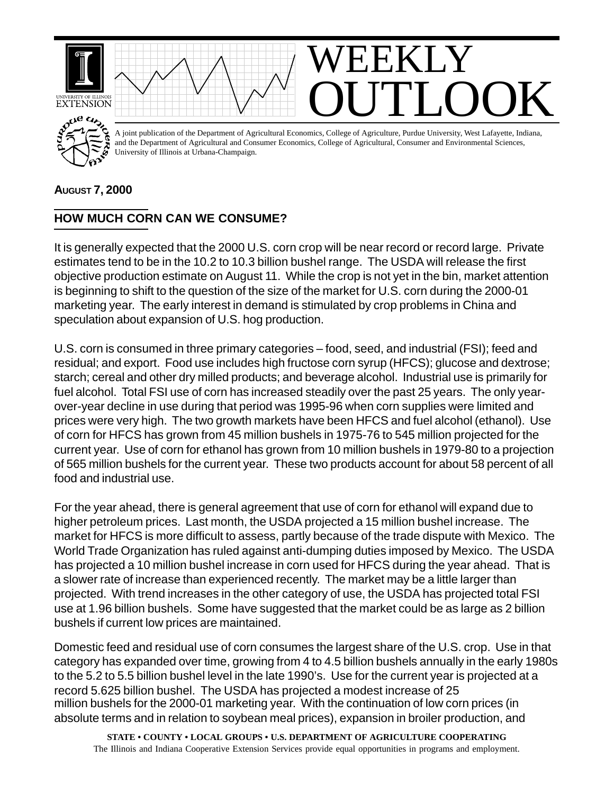

## **AUGUST 7, 2000**

## **HOW MUCH CORN CAN WE CONSUME?**

It is generally expected that the 2000 U.S. corn crop will be near record or record large. Private estimates tend to be in the 10.2 to 10.3 billion bushel range. The USDA will release the first objective production estimate on August 11. While the crop is not yet in the bin, market attention is beginning to shift to the question of the size of the market for U.S. corn during the 2000-01 marketing year. The early interest in demand is stimulated by crop problems in China and speculation about expansion of U.S. hog production.

U.S. corn is consumed in three primary categories – food, seed, and industrial (FSI); feed and residual; and export. Food use includes high fructose corn syrup (HFCS); glucose and dextrose; starch; cereal and other dry milled products; and beverage alcohol. Industrial use is primarily for fuel alcohol. Total FSI use of corn has increased steadily over the past 25 years. The only yearover-year decline in use during that period was 1995-96 when corn supplies were limited and prices were very high. The two growth markets have been HFCS and fuel alcohol (ethanol). Use of corn for HFCS has grown from 45 million bushels in 1975-76 to 545 million projected for the current year. Use of corn for ethanol has grown from 10 million bushels in 1979-80 to a projection of 565 million bushels for the current year. These two products account for about 58 percent of all food and industrial use.

For the year ahead, there is general agreement that use of corn for ethanol will expand due to higher petroleum prices. Last month, the USDA projected a 15 million bushel increase. The market for HFCS is more difficult to assess, partly because of the trade dispute with Mexico. The World Trade Organization has ruled against anti-dumping duties imposed by Mexico. The USDA has projected a 10 million bushel increase in corn used for HFCS during the year ahead. That is a slower rate of increase than experienced recently. The market may be a little larger than projected. With trend increases in the other category of use, the USDA has projected total FSI use at 1.96 billion bushels. Some have suggested that the market could be as large as 2 billion bushels if current low prices are maintained.

Domestic feed and residual use of corn consumes the largest share of the U.S. crop. Use in that category has expanded over time, growing from 4 to 4.5 billion bushels annually in the early 1980s to the 5.2 to 5.5 billion bushel level in the late 1990's. Use for the current year is projected at a record 5.625 billion bushel. The USDA has projected a modest increase of 25 million bushels for the 2000-01 marketing year. With the continuation of low corn prices (in absolute terms and in relation to soybean meal prices), expansion in broiler production, and